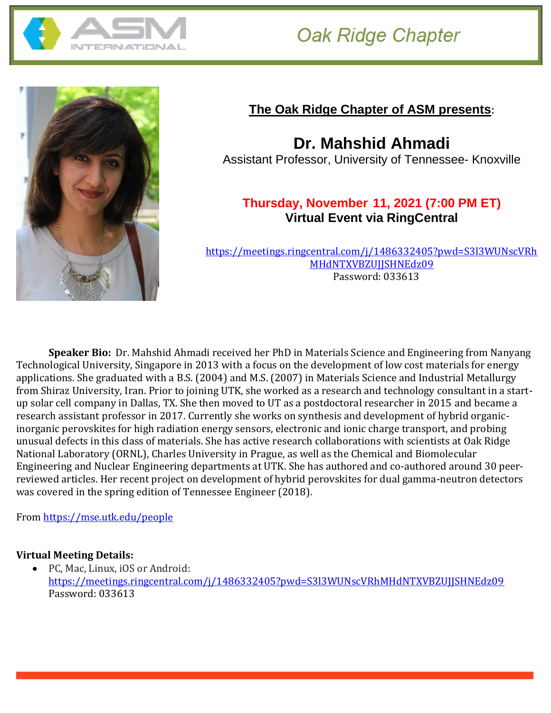

# **Oak Ridge Chapter**



## **The Oak Ridge Chapter of ASM presents**:

**Dr. Mahshid Ahmadi** Assistant Professor, University of Tennessee- Knoxville

### **Thursday, November 11, 2021 (7:00 PM ET) Virtual Event via RingCentral**

[https://meetings.ringcentral.com/j/1486332405?pwd=S3l3WUNscVRh](https://meetings.ringcentral.com/j/1486332405?pwd=S3l3WUNscVRhMHdNTXVBZUJJSHNEdz09) [MHdNTXVBZUJJSHNEdz09](https://meetings.ringcentral.com/j/1486332405?pwd=S3l3WUNscVRhMHdNTXVBZUJJSHNEdz09) Password: 033613

**Speaker Bio:** Dr. Mahshid Ahmadi received her PhD in Materials Science and Engineering from Nanyang Technological University, Singapore in 2013 with a focus on the development of low cost materials for energy applications. She graduated with a B.S. (2004) and M.S. (2007) in Materials Science and Industrial Metallurgy from Shiraz University, Iran. Prior to joining UTK, she worked as a research and technology consultant in a startup solar cell company in Dallas, TX. She then moved to UT as a postdoctoral researcher in 2015 and became a research assistant professor in 2017. Currently she works on synthesis and development of hybrid organicinorganic perovskites for high radiation energy sensors, electronic and ionic charge transport, and probing unusual defects in this class of materials. She has active research collaborations with scientists at Oak Ridge National Laboratory (ORNL), Charles University in Prague, as well as the Chemical and Biomolecular Engineering and Nuclear Engineering departments at UTK. She has authored and co-authored around 30 peerreviewed articles. Her recent project on development of hybrid perovskites for dual gamma-neutron detectors was covered in the spring edition of Tennessee Engineer (2018).

From <https://mse.utk.edu/people>

#### **Virtual Meeting Details:**

• PC, Mac, Linux, iOS or Android: <https://meetings.ringcentral.com/j/1486332405?pwd=S3l3WUNscVRhMHdNTXVBZUJJSHNEdz09> Password: 033613